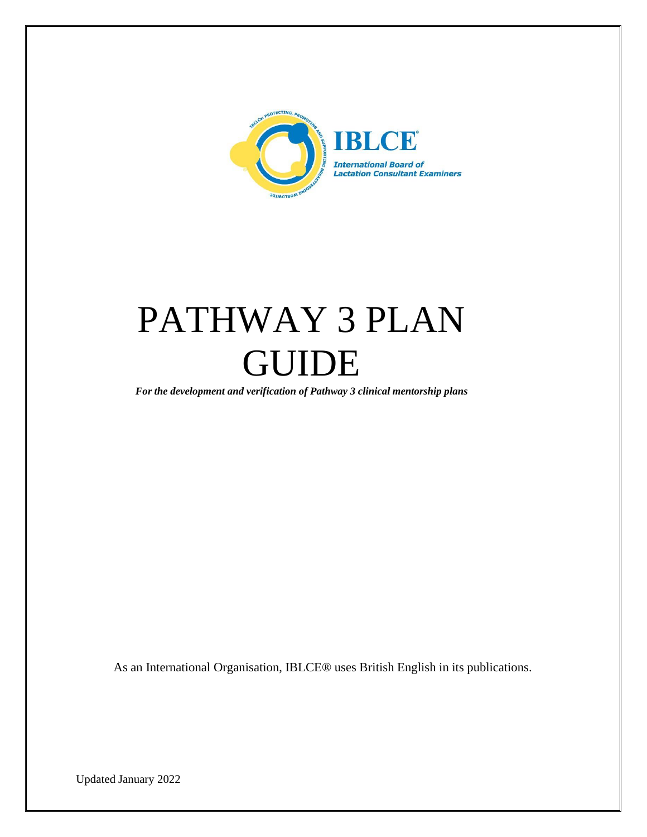

# PATHWAY 3 PLAN GUIDE

*For the development and verification of Pathway 3 clinical mentorship plans*

As an International Organisation, IBLCE® uses British English in its publications.

Updated January 2022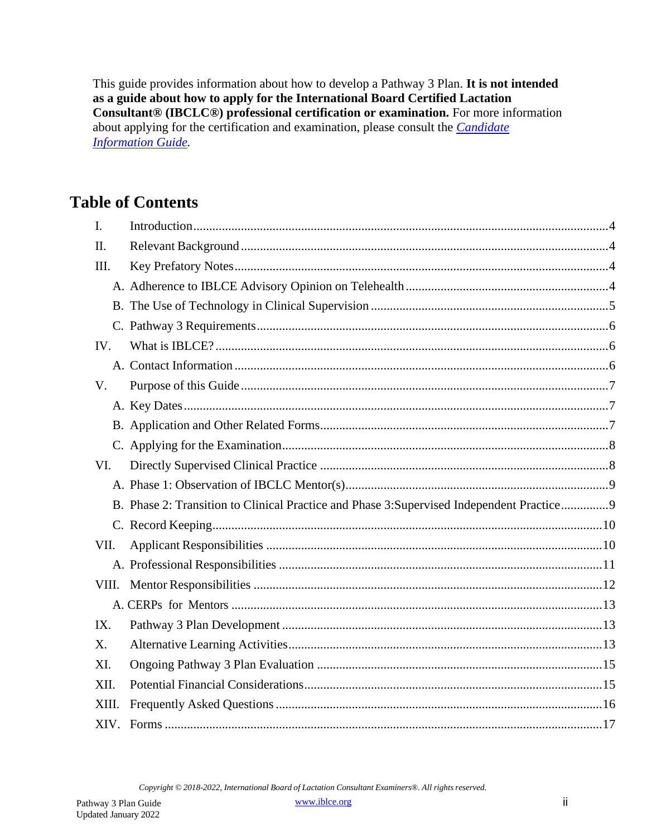This guide provides information about how to develop a Pathway 3 Plan. It is not intended as a guide about how to apply for the International Board Certified Lactation Consultant® (IBCLC®) professional certification or examination. For more information about applying for the certification and examination, please consult the *Candidate* **Information Guide** 

#### **Table of Contents**

| I.    |                                                                                            |  |
|-------|--------------------------------------------------------------------------------------------|--|
| II.   |                                                                                            |  |
| III.  |                                                                                            |  |
|       |                                                                                            |  |
|       |                                                                                            |  |
|       |                                                                                            |  |
| IV.   |                                                                                            |  |
|       |                                                                                            |  |
| V.    |                                                                                            |  |
|       |                                                                                            |  |
|       |                                                                                            |  |
|       |                                                                                            |  |
| VI.   |                                                                                            |  |
|       |                                                                                            |  |
|       | B. Phase 2: Transition to Clinical Practice and Phase 3: Supervised Independent Practice 9 |  |
|       |                                                                                            |  |
| VII.  |                                                                                            |  |
|       |                                                                                            |  |
|       |                                                                                            |  |
|       |                                                                                            |  |
| IX.   |                                                                                            |  |
| X.    |                                                                                            |  |
| XI.   |                                                                                            |  |
| XII.  |                                                                                            |  |
| XIII. |                                                                                            |  |
|       |                                                                                            |  |

Copyright © 2018-2022, International Board of Lactation Consultant Examiners®. All rights reserved.

www.iblce.org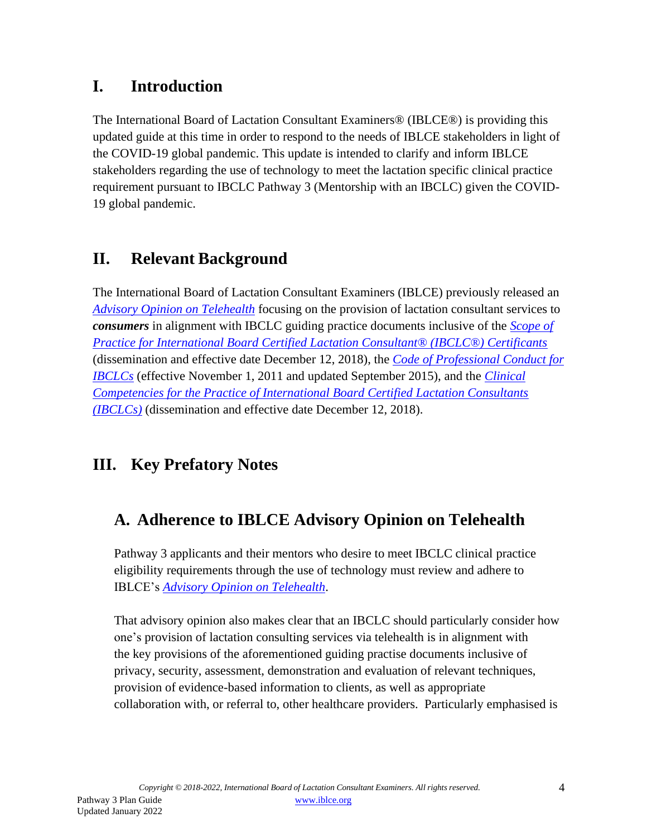#### <span id="page-2-0"></span>**I. Introduction**

The International Board of Lactation Consultant Examiners® (IBLCE®) is providing this updated guide at this time in order to respond to the needs of IBLCE stakeholders in light of the COVID-19 global pandemic. This update is intended to clarify and inform IBLCE stakeholders regarding the use of technology to meet the lactation specific clinical practice requirement pursuant to IBCLC Pathway 3 (Mentorship with an IBCLC) given the COVID-19 global pandemic.

## <span id="page-2-1"></span>**II. Relevant Background**

The International Board of Lactation Consultant Examiners (IBLCE) previously released an *[Advisory Opinion on Telehealth](https://iblce.org/wp-content/uploads/2020/04/2020_April_IBLCE_Advisory_Opinion_Telehealth_FINAL.pdf)* focusing on the provision of lactation consultant services to *consumers* in alignment with IBCLC guiding practice documents inclusive of the *[Scope of](https://iblce.org/wp-content/uploads/2018/12/scope-of-practice-2018.pdf) [Practice for International Board Certified Lactation Consultant® \(IBCLC®\) Certificants](https://iblce.org/wp-content/uploads/2018/12/scope-of-practice-2018.pdf)* (dissemination and effective date December 12, 2018), the *[Code of Professional Conduct for](https://iblce.org/wp-content/uploads/2017/05/code-of-professional-conduct.pdf) [IBCLCs](https://iblce.org/wp-content/uploads/2017/05/code-of-professional-conduct.pdf)* (effective November 1, 2011 and updated September 2015), and the *[Clinical](https://iblce.org/wp-content/uploads/2018/12/clinical-competencies-2018.pdf) [Competencies for the Practice of International Board Certified Lactation Consultants](https://iblce.org/wp-content/uploads/2018/12/clinical-competencies-2018.pdf) [\(IBCLCs\)](https://iblce.org/wp-content/uploads/2018/12/clinical-competencies-2018.pdf)* (dissemination and effective date December 12, 2018).

# <span id="page-2-3"></span><span id="page-2-2"></span>**III. Key Prefatory Notes**

# **A. Adherence to IBLCE Advisory Opinion on Telehealth**

Pathway 3 applicants and their mentors who desire to meet IBCLC clinical practice eligibility requirements through the use of technology must review and adhere to IBLCE's *Advisory [Opinion on Telehealth](https://iblce.org/wp-content/uploads/2020/04/2020_April_IBLCE_Advisory_Opinion_Telehealth_FINAL.pdf)*.

That advisory opinion also makes clear that an IBCLC should particularly consider how one's provision of lactation consulting services via telehealth is in alignment with the key provisions of the aforementioned guiding practise documents inclusive of privacy, security, assessment, demonstration and evaluation of relevant techniques, provision of evidence-based information to clients, as well as appropriate collaboration with, or referral to, other healthcare providers. Particularly emphasised is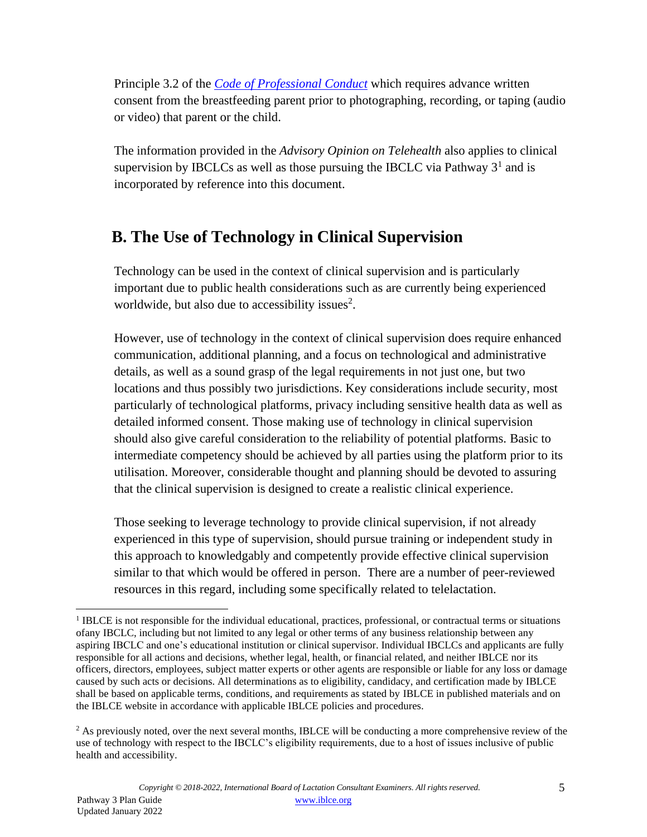Principle 3.2 of the *[Code of Professional Conduct](https://iblce.org/wp-content/uploads/2017/05/code-of-professional-conduct.pdf)* which requires advance written consent from the breastfeeding parent prior to photographing, recording, or taping (audio or video) that parent or the child.

The information provided in the *Advisory Opinion on Telehealth* also applies to clinical supervision by IBCLCs as well as those pursuing the IBCLC via Pathway  $3<sup>1</sup>$  $3<sup>1</sup>$  $3<sup>1</sup>$  and is incorporated by reference into this document.

#### <span id="page-3-0"></span>**B. The Use of Technology in Clinical Supervision**

Technology can be used in the context of clinical supervision and is particularly important due to public health considerations such as are currently being experienced worldwide, but also due to accessibility issues<sup>[2](#page-3-2)</sup>.

However, use of technology in the context of clinical supervision does require enhanced communication, additional planning, and a focus on technological and administrative details, as well as a sound grasp of the legal requirements in not just one, but two locations and thus possibly two jurisdictions. Key considerations include security, most particularly of technological platforms, privacy including sensitive health data as well as detailed informed consent. Those making use of technology in clinical supervision should also give careful consideration to the reliability of potential platforms. Basic to intermediate competency should be achieved by all parties using the platform prior to its utilisation. Moreover, considerable thought and planning should be devoted to assuring that the clinical supervision is designed to create a realistic clinical experience.

Those seeking to leverage technology to provide clinical supervision, if not already experienced in this type of supervision, should pursue training or independent study in this approach to knowledgably and competently provide effective clinical supervision similar to that which would be offered in person. There are a number of peer-reviewed resources in this regard, including some specifically related to telelactation.

<span id="page-3-1"></span><sup>&</sup>lt;sup>1</sup> IBLCE is not responsible for the individual educational, practices, professional, or contractual terms or situations ofany IBCLC, including but not limited to any legal or other terms of any business relationship between any aspiring IBCLC and one's educational institution or clinical supervisor. Individual IBCLCs and applicants are fully responsible for all actions and decisions, whether legal, health, or financial related, and neither IBLCE nor its officers, directors, employees, subject matter experts or other agents are responsible or liable for any loss or damage caused by such acts or decisions. All determinations as to eligibility, candidacy, and certification made by IBLCE shall be based on applicable terms, conditions, and requirements as stated by IBLCE in published materials and on the IBLCE website in accordance with applicable IBLCE policies and procedures.

<span id="page-3-2"></span><sup>&</sup>lt;sup>2</sup> As previously noted, over the next several months, IBLCE will be conducting a more comprehensive review of the use of technology with respect to the IBCLC's eligibility requirements, due to a host of issues inclusive of public health and accessibility.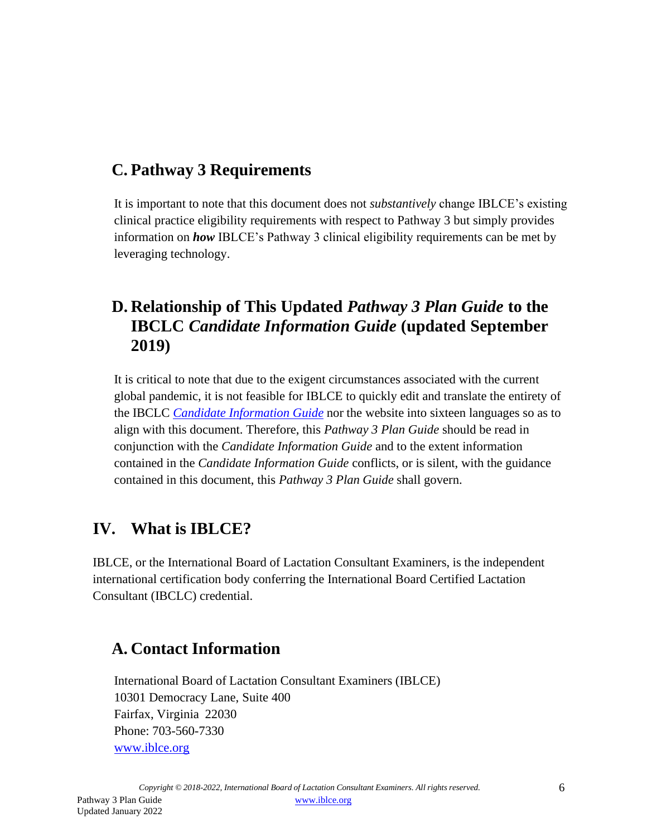## <span id="page-4-0"></span>**C. Pathway 3 Requirements**

It is important to note that this document does not *substantively* change IBLCE's existing clinical practice eligibility requirements with respect to Pathway 3 but simply provides information on *how* IBLCE's Pathway 3 clinical eligibility requirements can be met by leveraging technology.

#### **D. Relationship of This Updated** *Pathway 3 Plan Guide* **to the IBCLC** *Candidate Information Guide* **(updated September 2019)**

It is critical to note that due to the exigent circumstances associated with the current global pandemic, it is not feasible for IBLCE to quickly edit and translate the entirety of the IBCLC *Candidate [Information](https://iblce.org/iblce-documents/) Guide* nor the website into sixteen languages so as to align with this document. Therefore, this *Pathway 3 Plan Guide* should be read in conjunction with the *Candidate Information Guide* and to the extent information contained in the *Candidate Information Guide* conflicts, or is silent, with the guidance contained in this document, this *Pathway 3 Plan Guide* shall govern.

## <span id="page-4-1"></span>**IV. What is IBLCE?**

IBLCE, or the International Board of Lactation Consultant Examiners, is the independent international certification body conferring the International Board Certified Lactation Consultant (IBCLC) credential.

#### <span id="page-4-2"></span>**A. Contact Information**

International Board of Lactation Consultant Examiners (IBLCE) 10301 Democracy Lane, Suite 400 Fairfax, Virginia 22030 Phone: 703-560-7330 [www.iblce.org](http://www.iblce.org/)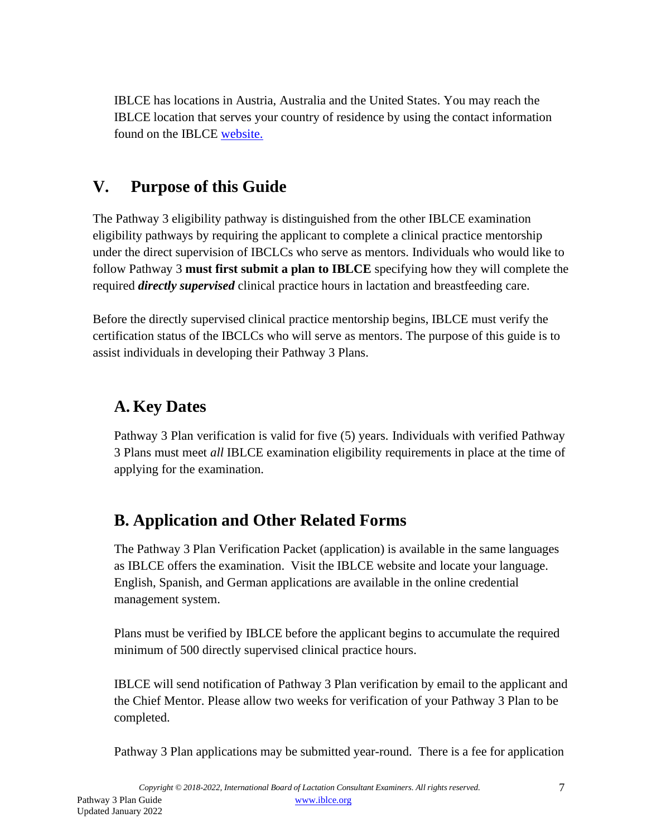IBLCE has locations in Austria, Australia and the United States. You may reach the IBLCE location that serves your country of residence by using the contact information found on the IBLCE [website.](https://iblce.org/contact-2/)

#### <span id="page-5-0"></span>**V. Purpose of this Guide**

The Pathway 3 eligibility pathway is distinguished from the other IBLCE examination eligibility pathways by requiring the applicant to complete a clinical practice mentorship under the direct supervision of IBCLCs who serve as mentors. Individuals who would like to follow Pathway 3 **must first submit a plan to IBLCE** specifying how they will complete the required *directly supervised* clinical practice hours in lactation and breastfeeding care.

Before the directly supervised clinical practice mentorship begins, IBLCE must verify the certification status of the IBCLCs who will serve as mentors. The purpose of this guide is to assist individuals in developing their Pathway 3 Plans.

#### <span id="page-5-1"></span>**A. Key Dates**

Pathway 3 Plan verification is valid for five (5) years. Individuals with verified Pathway 3 Plans must meet *all* IBLCE examination eligibility requirements in place at the time of applying for the examination.

## <span id="page-5-2"></span>**B. Application and Other Related Forms**

The Pathway 3 Plan Verification Packet (application) is available in the same languages as IBLCE offers the examination. Visit the IBLCE website and locate your language. English, Spanish, and German applications are available in the online credential management system.

Plans must be verified by IBLCE before the applicant begins to accumulate the required minimum of 500 directly supervised clinical practice hours.

IBLCE will send notification of Pathway 3 Plan verification by email to the applicant and the Chief Mentor. Please allow two weeks for verification of your Pathway 3 Plan to be completed.

Pathway 3 Plan applications may be submitted year-round. There is a fee for application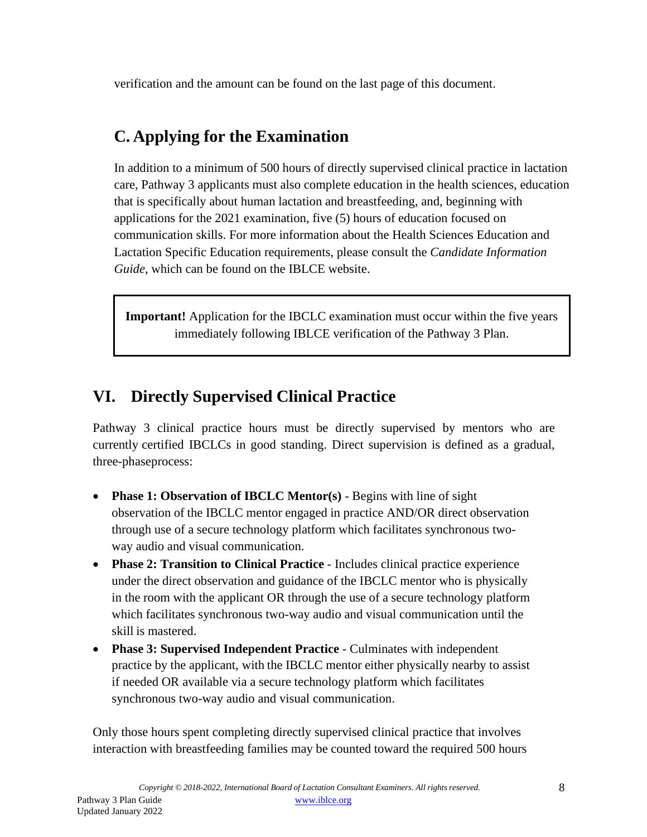verification and the amount can be found on the last page of this document.

#### <span id="page-6-0"></span>**C. Applying for the Examination**

In addition to a minimum of 500 hours of directly supervised clinical practice in lactation care, Pathway 3 applicants must also complete education in the health sciences, education that is specifically about human lactation and breastfeeding, and, beginning with applications for the 2021 examination, five (5) hours of education focused on communication skills. For more information about the Health Sciences Education and Lactation Specific Education requirements, please consult the *Candidate Information Guide*, which can be found on the IBLCE website.

**Important!** Application for the IBCLC examination must occur within the five years immediately following IBLCE verification of the Pathway 3 Plan.

#### <span id="page-6-1"></span>**VI. Directly Supervised Clinical Practice**

Pathway 3 clinical practice hours must be directly supervised by mentors who are currently certified IBCLCs in good standing. Direct supervision is defined as a gradual, three-phaseprocess:

- **Phase 1: Observation of IBCLC Mentor(s)** Begins with line of sight observation of the IBCLC mentor engaged in practice AND/OR direct observation through use of a secure technology platform which facilitates synchronous twoway audio and visual communication.
- **Phase 2: Transition to Clinical Practice** Includes clinical practice experience under the direct observation and guidance of the IBCLC mentor who is physically in the room with the applicant OR through the use of a secure technology platform which facilitates synchronous two-way audio and visual communication until the skill is mastered.
- **Phase 3: Supervised Independent Practice** Culminates with independent practice by the applicant, with the IBCLC mentor either physically nearby to assist if needed OR available via a secure technology platform which facilitates synchronous two-way audio and visual communication.

Only those hours spent completing directly supervised clinical practice that involves interaction with breastfeeding families may be counted toward the required 500 hours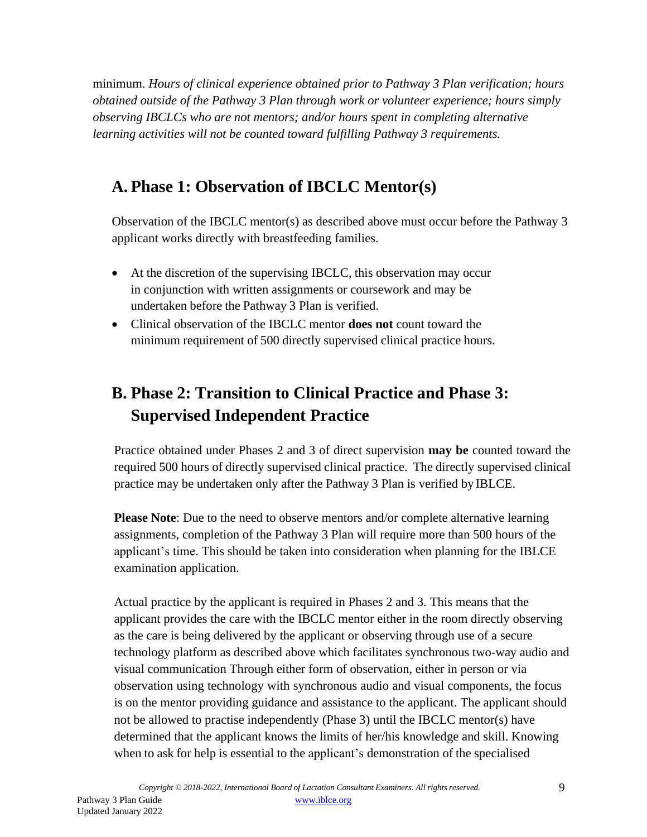minimum. *Hours of clinical experience obtained prior to Pathway 3 Plan verification; hours obtained outside of the Pathway 3 Plan through work or volunteer experience; hours simply observing IBCLCs who are not mentors; and/or hours spent in completing alternative learning activities will not be counted toward fulfilling Pathway 3 requirements.*

## <span id="page-7-0"></span>**A. Phase 1: Observation of IBCLC Mentor(s)**

Observation of the IBCLC mentor(s) as described above must occur before the Pathway 3 applicant works directly with breastfeeding families.

- At the discretion of the supervising IBCLC, this observation may occur in conjunction with written assignments or coursework and may be undertaken before the Pathway 3 Plan is verified.
- Clinical observation of the IBCLC mentor **does not** count toward the minimum requirement of 500 directly supervised clinical practice hours.

# <span id="page-7-1"></span>**B. Phase 2: Transition to Clinical Practice and Phase 3: Supervised Independent Practice**

Practice obtained under Phases 2 and 3 of direct supervision **may be** counted toward the required 500 hours of directly supervised clinical practice. The directly supervised clinical practice may be undertaken only after the Pathway 3 Plan is verified by IBLCE.

**Please Note**: Due to the need to observe mentors and/or complete alternative learning assignments, completion of the Pathway 3 Plan will require more than 500 hours of the applicant's time. This should be taken into consideration when planning for the IBLCE examination application.

Actual practice by the applicant is required in Phases 2 and 3. This means that the applicant provides the care with the IBCLC mentor either in the room directly observing as the care is being delivered by the applicant or observing through use of a secure technology platform as described above which facilitates synchronous two-way audio and visual communication Through either form of observation, either in person or via observation using technology with synchronous audio and visual components, the focus is on the mentor providing guidance and assistance to the applicant. The applicant should not be allowed to practise independently (Phase 3) until the IBCLC mentor(s) have determined that the applicant knows the limits of her/his knowledge and skill. Knowing when to ask for help is essential to the applicant's demonstration of the specialised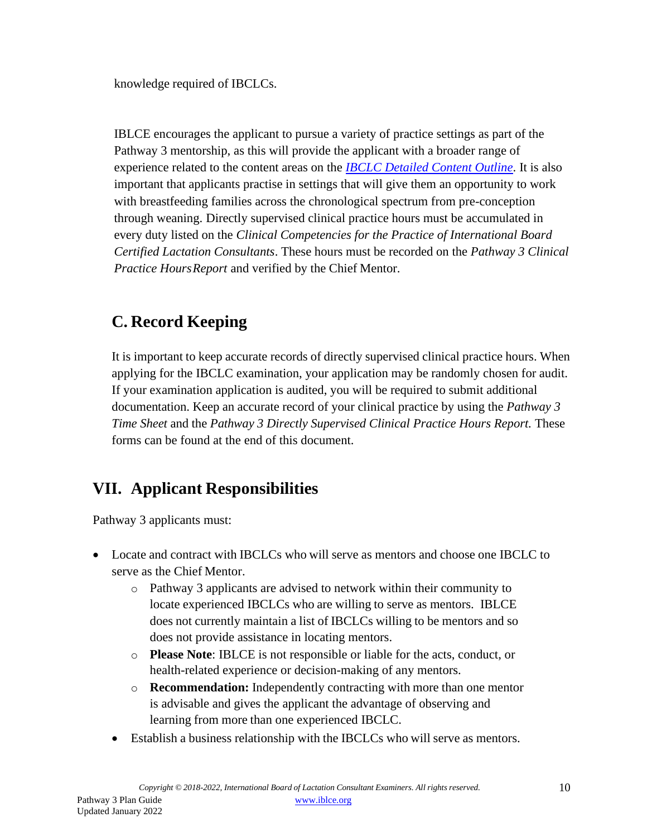knowledge required of IBCLCs.

IBLCE encourages the applicant to pursue a variety of practice settings as part of the Pathway 3 mentorship, as this will provide the applicant with a broader range of experience related to the content areas on the *[IBCLC Detailed Content Outline](https://iblce.org/wp-content/uploads/2017/05/ibclc-detailed-content-outline-for-2016-for-publication.pdf)*. It is also important that applicants practise in settings that will give them an opportunity to work with breastfeeding families across the chronological spectrum from pre-conception through weaning. Directly supervised clinical practice hours must be accumulated in every duty listed on the *Clinical Competencies for the Practice of International Board Certified Lactation Consultants*. These hours must be recorded on the *Pathway 3 Clinical Practice HoursReport* and verified by the Chief Mentor.

## <span id="page-8-0"></span>**C. Record Keeping**

It is important to keep accurate records of directly supervised clinical practice hours. When applying for the IBCLC examination, your application may be randomly chosen for audit. If your examination application is audited, you will be required to submit additional documentation. Keep an accurate record of your clinical practice by using the *Pathway 3 Time Sheet* and the *Pathway 3 Directly Supervised Clinical Practice Hours Report.* These forms can be found at the end of this document.

## <span id="page-8-1"></span>**VII. Applicant Responsibilities**

Pathway 3 applicants must:

- Locate and contract with IBCLCs who will serve as mentors and choose one IBCLC to serve as the Chief Mentor.
	- o Pathway 3 applicants are advised to network within their community to locate experienced IBCLCs who are willing to serve as mentors. IBLCE does not currently maintain a list of IBCLCs willing to be mentors and so does not provide assistance in locating mentors.
	- o **Please Note**: IBLCE is not responsible or liable for the acts, conduct, or health-related experience or decision-making of any mentors.
	- o **Recommendation:** Independently contracting with more than one mentor is advisable and gives the applicant the advantage of observing and learning from more than one experienced IBCLC.
	- Establish a business relationship with the IBCLCs who will serve as mentors.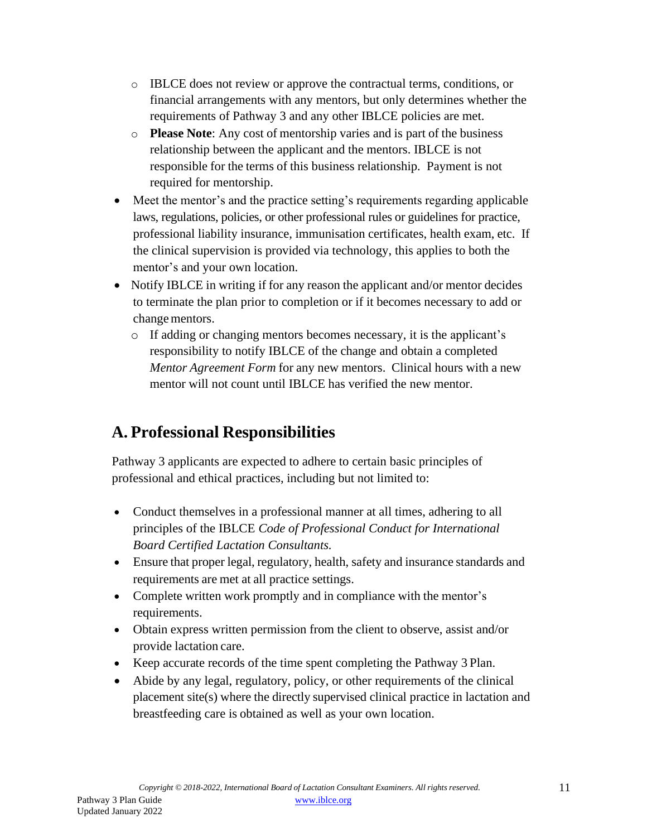- o IBLCE does not review or approve the contractual terms, conditions, or financial arrangements with any mentors, but only determines whether the requirements of Pathway 3 and any other IBLCE policies are met.
- o **Please Note**: Any cost of mentorship varies and is part of the business relationship between the applicant and the mentors. IBLCE is not responsible for the terms of this business relationship. Payment is not required for mentorship.
- Meet the mentor's and the practice setting's requirements regarding applicable laws, regulations, policies, or other professional rules or guidelines for practice, professional liability insurance, immunisation certificates, health exam, etc. If the clinical supervision is provided via technology, this applies to both the mentor's and your own location.
- Notify IBLCE in writing if for any reason the applicant and/or mentor decides to terminate the plan prior to completion or if it becomes necessary to add or change mentors.
	- o If adding or changing mentors becomes necessary, it is the applicant's responsibility to notify IBLCE of the change and obtain a completed *Mentor Agreement Form* for any new mentors. Clinical hours with a new mentor will not count until IBLCE has verified the new mentor.

## <span id="page-9-0"></span>**A. Professional Responsibilities**

Pathway 3 applicants are expected to adhere to certain basic principles of professional and ethical practices, including but not limited to:

- Conduct themselves in a professional manner at all times, adhering to all principles of the IBLCE *Code of Professional Conduct for International Board Certified Lactation Consultants.*
- Ensure that proper legal, regulatory, health, safety and insurance standards and requirements are met at all practice settings.
- Complete written work promptly and in compliance with the mentor's requirements.
- Obtain express written permission from the client to observe, assist and/or provide lactation care.
- Keep accurate records of the time spent completing the Pathway 3 Plan.
- Abide by any legal, regulatory, policy, or other requirements of the clinical placement site(s) where the directly supervised clinical practice in lactation and breastfeeding care is obtained as well as your own location.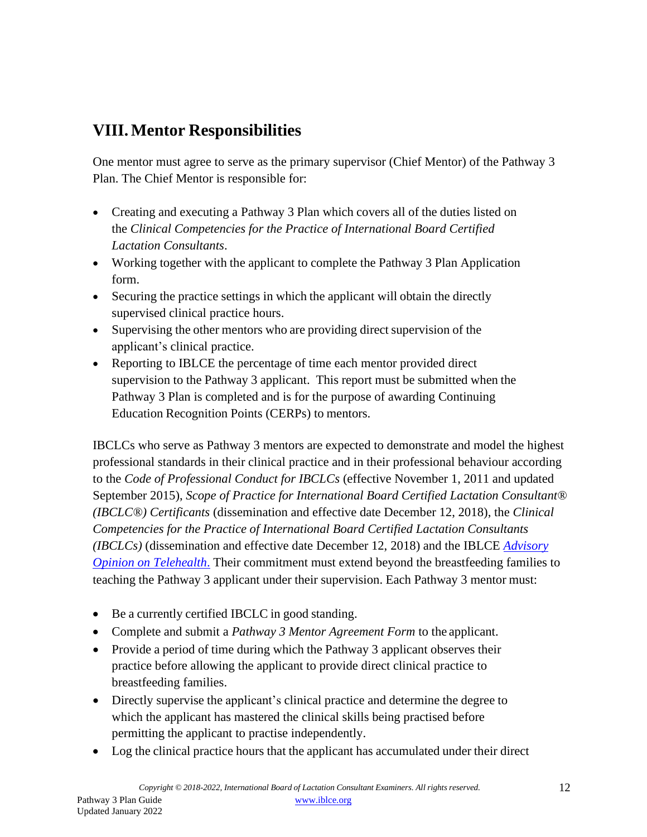## <span id="page-10-0"></span>**VIII.Mentor Responsibilities**

One mentor must agree to serve as the primary supervisor (Chief Mentor) of the Pathway 3 Plan. The Chief Mentor is responsible for:

- Creating and executing a Pathway 3 Plan which covers all of the duties listed on the *Clinical Competencies for the Practice of International Board Certified Lactation Consultants*.
- Working together with the applicant to complete the Pathway 3 Plan Application form.
- Securing the practice settings in which the applicant will obtain the directly supervised clinical practice hours.
- Supervising the other mentors who are providing direct supervision of the applicant's clinical practice.
- Reporting to IBLCE the percentage of time each mentor provided direct supervision to the Pathway 3 applicant. This report must be submitted when the Pathway 3 Plan is completed and is for the purpose of awarding Continuing Education Recognition Points (CERPs) to mentors.

IBCLCs who serve as Pathway 3 mentors are expected to demonstrate and model the highest professional standards in their clinical practice and in their professional behaviour according to the *Code of Professional Conduct for IBCLCs* (effective November 1, 2011 and updated September 2015), *Scope of Practice for International Board Certified Lactation Consultant® (IBCLC®) Certificants* (dissemination and effective date December 12, 2018), the *Clinical Competencies for the Practice of International Board Certified Lactation Consultants (IBCLCs)* (dissemination and effective date December 12, 2018) and the IBLCE *[Advisory](https://iblce.org/wp-content/uploads/2020/04/2020_April_IBLCE_Advisory_Opinion_Telehealth_FINAL.pdf) [Opinion on Telehealth](https://iblce.org/wp-content/uploads/2020/04/2020_April_IBLCE_Advisory_Opinion_Telehealth_FINAL.pdf)*. Their commitment must extend beyond the breastfeeding families to teaching the Pathway 3 applicant under their supervision. Each Pathway 3 mentor must:

- Be a currently certified IBCLC in good standing.
- Complete and submit a *Pathway 3 Mentor Agreement Form* to the applicant.
- Provide a period of time during which the Pathway 3 applicant observes their practice before allowing the applicant to provide direct clinical practice to breastfeeding families.
- Directly supervise the applicant's clinical practice and determine the degree to which the applicant has mastered the clinical skills being practised before permitting the applicant to practise independently.
- Log the clinical practice hours that the applicant has accumulated under their direct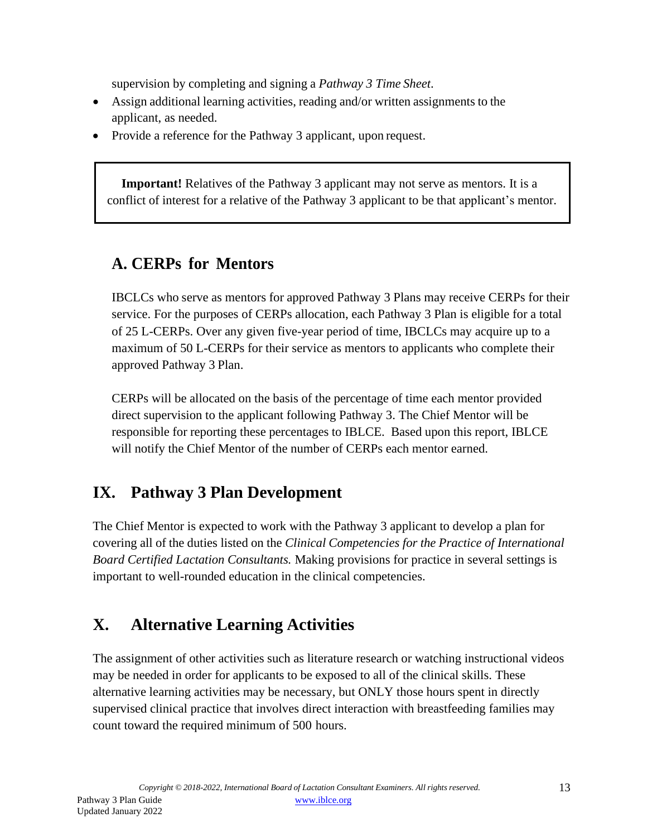supervision by completing and signing a *Pathway 3 Time Sheet*.

- Assign additional learning activities, reading and/or written assignments to the applicant, as needed.
- Provide a reference for the Pathway 3 applicant, upon request.

**Important!** Relatives of the Pathway 3 applicant may not serve as mentors. It is a conflict of interest for a relative of the Pathway 3 applicant to be that applicant's mentor.

#### <span id="page-11-0"></span>**A. CERPs for Mentors**

IBCLCs who serve as mentors for approved Pathway 3 Plans may receive CERPs for their service. For the purposes of CERPs allocation, each Pathway 3 Plan is eligible for a total of 25 L-CERPs. Over any given five-year period of time, IBCLCs may acquire up to a maximum of 50 L-CERPs for their service as mentors to applicants who complete their approved Pathway 3 Plan.

CERPs will be allocated on the basis of the percentage of time each mentor provided direct supervision to the applicant following Pathway 3. The Chief Mentor will be responsible for reporting these percentages to IBLCE. Based upon this report, IBLCE will notify the Chief Mentor of the number of CERPs each mentor earned.

## <span id="page-11-1"></span>**IX. Pathway 3 Plan Development**

The Chief Mentor is expected to work with the Pathway 3 applicant to develop a plan for covering all of the duties listed on the *Clinical Competencies for the Practice of International Board Certified Lactation Consultants.* Making provisions for practice in several settings is important to well-rounded education in the clinical competencies.

## <span id="page-11-2"></span>**X. Alternative Learning Activities**

The assignment of other activities such as literature research or watching instructional videos may be needed in order for applicants to be exposed to all of the clinical skills. These alternative learning activities may be necessary, but ONLY those hours spent in directly supervised clinical practice that involves direct interaction with breastfeeding families may count toward the required minimum of 500 hours.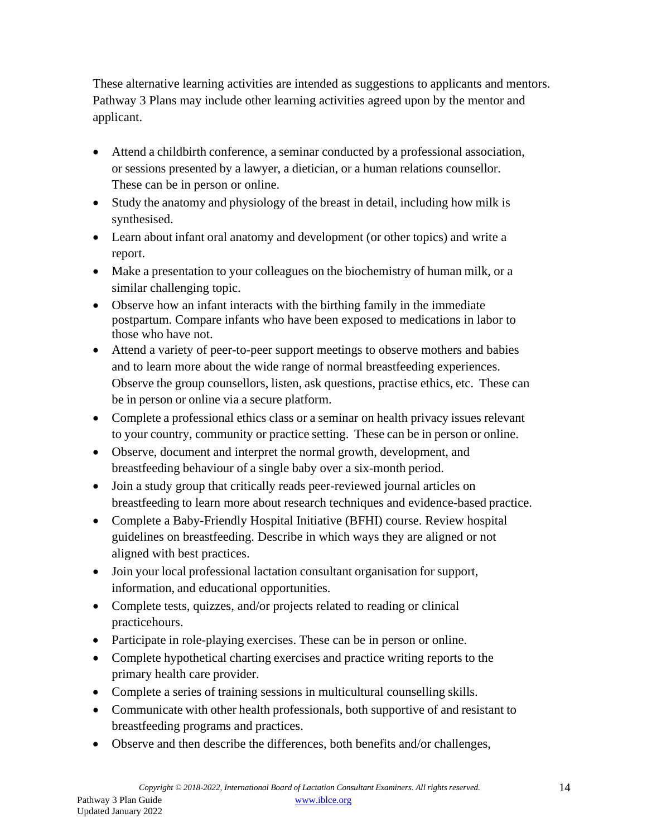These alternative learning activities are intended as suggestions to applicants and mentors. Pathway 3 Plans may include other learning activities agreed upon by the mentor and applicant.

- Attend a childbirth conference, a seminar conducted by a professional association, or sessions presented by a lawyer, a dietician, or a human relations counsellor. These can be in person or online.
- Study the anatomy and physiology of the breast in detail, including how milk is synthesised.
- Learn about infant oral anatomy and development (or other topics) and write a report.
- Make a presentation to your colleagues on the biochemistry of human milk, or a similar challenging topic.
- Observe how an infant interacts with the birthing family in the immediate postpartum. Compare infants who have been exposed to medications in labor to those who have not.
- Attend a variety of peer-to-peer support meetings to observe mothers and babies and to learn more about the wide range of normal breastfeeding experiences. Observe the group counsellors, listen, ask questions, practise ethics, etc. These can be in person or online via a secure platform.
- Complete a professional ethics class or a seminar on health privacy issues relevant to your country, community or practice setting. These can be in person or online.
- Observe, document and interpret the normal growth, development, and breastfeeding behaviour of a single baby over a six-month period.
- Join a study group that critically reads peer-reviewed journal articles on breastfeeding to learn more about research techniques and evidence-based practice.
- Complete a Baby-Friendly Hospital Initiative (BFHI) course. Review hospital guidelines on breastfeeding. Describe in which ways they are aligned or not aligned with best practices.
- Join your local professional lactation consultant organisation for support, information, and educational opportunities.
- Complete tests, quizzes, and/or projects related to reading or clinical practicehours.
- Participate in role-playing exercises. These can be in person or online.
- Complete hypothetical charting exercises and practice writing reports to the primary health care provider.
- Complete a series of training sessions in multicultural counselling skills.
- Communicate with other health professionals, both supportive of and resistant to breastfeeding programs and practices.
- Observe and then describe the differences, both benefits and/or challenges,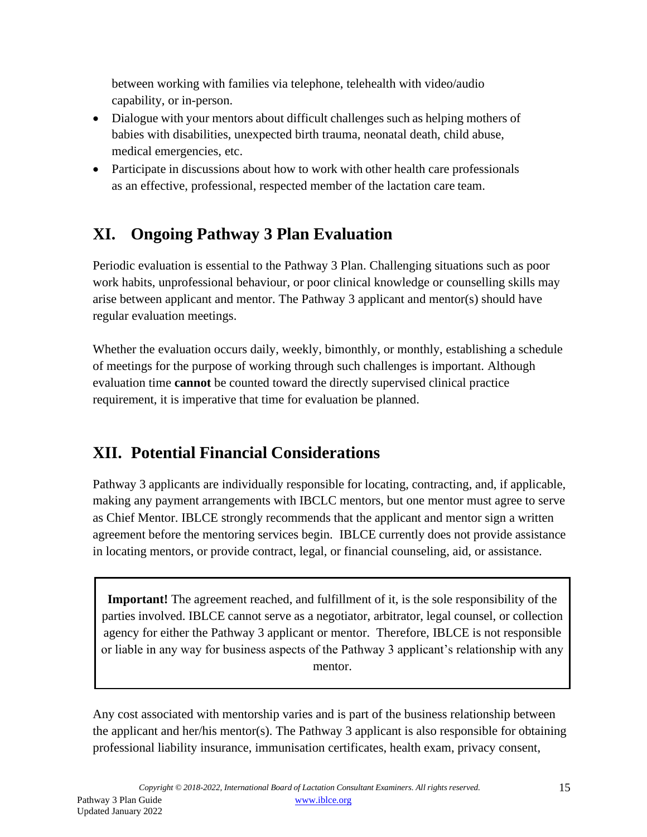between working with families via telephone, telehealth with video/audio capability, or in-person.

- Dialogue with your mentors about difficult challenges such as helping mothers of babies with disabilities, unexpected birth trauma, neonatal death, child abuse, medical emergencies, etc.
- Participate in discussions about how to work with other health care professionals as an effective, professional, respected member of the lactation care team.

# <span id="page-13-0"></span>**XI. Ongoing Pathway 3 Plan Evaluation**

Periodic evaluation is essential to the Pathway 3 Plan. Challenging situations such as poor work habits, unprofessional behaviour, or poor clinical knowledge or counselling skills may arise between applicant and mentor. The Pathway 3 applicant and mentor(s) should have regular evaluation meetings.

Whether the evaluation occurs daily, weekly, bimonthly, or monthly, establishing a schedule of meetings for the purpose of working through such challenges is important. Although evaluation time **cannot** be counted toward the directly supervised clinical practice requirement, it is imperative that time for evaluation be planned.

# <span id="page-13-1"></span>**XII. Potential Financial Considerations**

Pathway 3 applicants are individually responsible for locating, contracting, and, if applicable, making any payment arrangements with IBCLC mentors, but one mentor must agree to serve as Chief Mentor. IBLCE strongly recommends that the applicant and mentor sign a written agreement before the mentoring services begin. IBLCE currently does not provide assistance in locating mentors, or provide contract, legal, or financial counseling, aid, or assistance.

**Important!** The agreement reached, and fulfillment of it, is the sole responsibility of the parties involved. IBLCE cannot serve as a negotiator, arbitrator, legal counsel, or collection agency for either the Pathway 3 applicant or mentor. Therefore, IBLCE is not responsible or liable in any way for business aspects of the Pathway 3 applicant's relationship with any mentor.

Any cost associated with mentorship varies and is part of the business relationship between the applicant and her/his mentor(s). The Pathway 3 applicant is also responsible for obtaining professional liability insurance, immunisation certificates, health exam, privacy consent,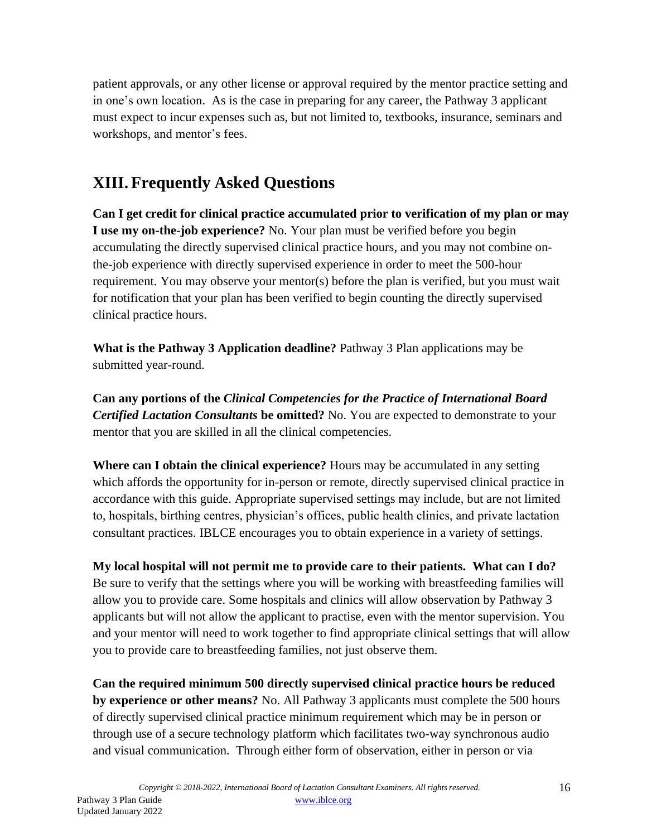patient approvals, or any other license or approval required by the mentor practice setting and in one's own location. As is the case in preparing for any career, the Pathway 3 applicant must expect to incur expenses such as, but not limited to, textbooks, insurance, seminars and workshops, and mentor's fees.

## <span id="page-14-0"></span>**XIII.Frequently Asked Questions**

**Can I get credit for clinical practice accumulated prior to verification of my plan or may I use my on-the-job experience?** No. Your plan must be verified before you begin accumulating the directly supervised clinical practice hours, and you may not combine onthe-job experience with directly supervised experience in order to meet the 500-hour requirement. You may observe your mentor(s) before the plan is verified, but you must wait for notification that your plan has been verified to begin counting the directly supervised clinical practice hours.

**What is the Pathway 3 Application deadline?** Pathway 3 Plan applications may be submitted year-round.

**Can any portions of the** *Clinical Competencies for the Practice of International Board Certified Lactation Consultants* **be omitted?** No. You are expected to demonstrate to your mentor that you are skilled in all the clinical competencies.

**Where can I obtain the clinical experience?** Hours may be accumulated in any setting which affords the opportunity for in-person or remote, directly supervised clinical practice in accordance with this guide. Appropriate supervised settings may include, but are not limited to, hospitals, birthing centres, physician's offices, public health clinics, and private lactation consultant practices. IBLCE encourages you to obtain experience in a variety of settings.

**My local hospital will not permit me to provide care to their patients. What can I do?** Be sure to verify that the settings where you will be working with breastfeeding families will allow you to provide care. Some hospitals and clinics will allow observation by Pathway 3 applicants but will not allow the applicant to practise, even with the mentor supervision. You and your mentor will need to work together to find appropriate clinical settings that will allow you to provide care to breastfeeding families, not just observe them.

**Can the required minimum 500 directly supervised clinical practice hours be reduced by experience or other means?** No. All Pathway 3 applicants must complete the 500 hours of directly supervised clinical practice minimum requirement which may be in person or through use of a secure technology platform which facilitates two-way synchronous audio and visual communication. Through either form of observation, either in person or via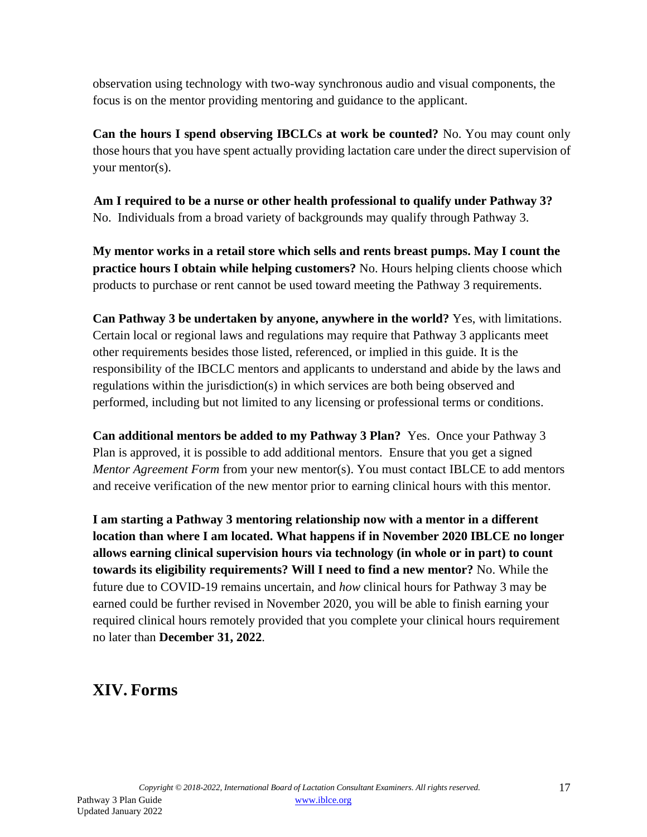observation using technology with two-way synchronous audio and visual components, the focus is on the mentor providing mentoring and guidance to the applicant.

**Can the hours I spend observing IBCLCs at work be counted?** No. You may count only those hours that you have spent actually providing lactation care under the direct supervision of your mentor(s).

**Am I required to be a nurse or other health professional to qualify under Pathway 3?** No. Individuals from a broad variety of backgrounds may qualify through Pathway 3.

**My mentor works in a retail store which sells and rents breast pumps. May I count the practice hours I obtain while helping customers?** No. Hours helping clients choose which products to purchase or rent cannot be used toward meeting the Pathway 3 requirements.

**Can Pathway 3 be undertaken by anyone, anywhere in the world?** Yes, with limitations. Certain local or regional laws and regulations may require that Pathway 3 applicants meet other requirements besides those listed, referenced, or implied in this guide. It is the responsibility of the IBCLC mentors and applicants to understand and abide by the laws and regulations within the jurisdiction(s) in which services are both being observed and performed, including but not limited to any licensing or professional terms or conditions.

**Can additional mentors be added to my Pathway 3 Plan?** Yes. Once your Pathway 3 Plan is approved, it is possible to add additional mentors. Ensure that you get a signed *Mentor Agreement Form* from your new mentor(s). You must contact IBLCE to add mentors and receive verification of the new mentor prior to earning clinical hours with this mentor.

**I am starting a Pathway 3 mentoring relationship now with a mentor in a different location than where I am located. What happens if in November 2020 IBLCE no longer allows earning clinical supervision hours via technology (in whole or in part) to count towards its eligibility requirements? Will I need to find a new mentor?** No. While the future due to COVID-19 remains uncertain, and *how* clinical hours for Pathway 3 may be earned could be further revised in November 2020, you will be able to finish earning your required clinical hours remotely provided that you complete your clinical hours requirement no later than **December 31, 2022**.

## <span id="page-15-0"></span>**XIV. Forms**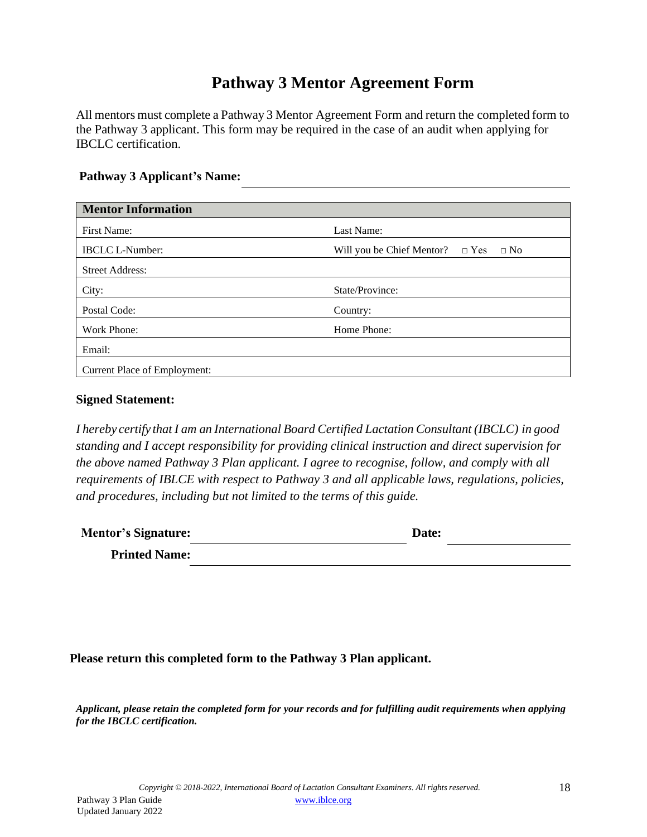### **Pathway 3 Mentor Agreement Form**

All mentors must complete a Pathway 3 Mentor Agreement Form and return the completed form to the Pathway 3 applicant. This form may be required in the case of an audit when applying for IBCLC certification.

#### **Pathway 3 Applicant's Name:**

| <b>Mentor Information</b>           |                                                   |
|-------------------------------------|---------------------------------------------------|
| First Name:                         | Last Name:                                        |
| <b>IBCLC L-Number:</b>              | Will you be Chief Mentor? $\Box$ Yes<br>$\Box$ No |
| <b>Street Address:</b>              |                                                   |
| City:                               | State/Province:                                   |
| Postal Code:                        | Country:                                          |
| Work Phone:                         | Home Phone:                                       |
| Email:                              |                                                   |
| <b>Current Place of Employment:</b> |                                                   |

#### **Signed Statement:**

*I hereby certify that I am an International Board Certified Lactation Consultant (IBCLC) in good standing and I accept responsibility for providing clinical instruction and direct supervision for the above named Pathway 3 Plan applicant. I agree to recognise, follow, and comply with all requirements of IBLCE with respect to Pathway 3 and all applicable laws, regulations, policies, and procedures, including but not limited to the terms of this guide.*

| <b>Mentor's Signature:</b> | Date: |  |
|----------------------------|-------|--|
| <b>Printed Name:</b>       |       |  |

#### **Please return this completed form to the Pathway 3 Plan applicant.**

*Applicant, please retain the completed form for your records and for fulfilling audit requirements when applying for the IBCLC certification.*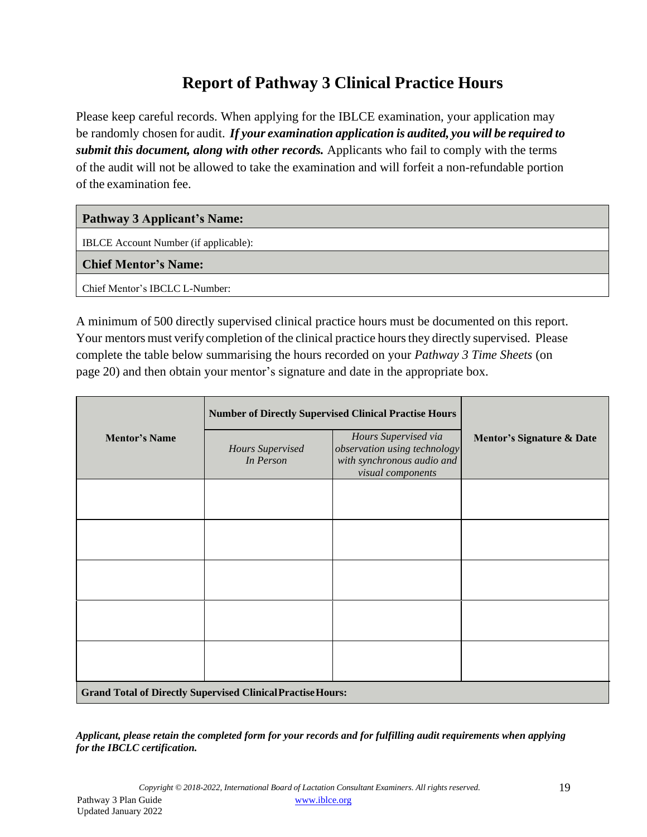## **Report of Pathway 3 Clinical Practice Hours**

Please keep careful records. When applying for the IBLCE examination, your application may be randomly chosen for audit. *If your examination application is audited, you will be required to submit this document, along with other records.* Applicants who fail to comply with the terms of the audit will not be allowed to take the examination and will forfeit a non-refundable portion of the examination fee.

#### **Pathway 3 Applicant's Name:**

IBLCE Account Number (if applicable):

**Chief Mentor's Name:**

Chief Mentor's IBCLC L-Number:

A minimum of 500 directly supervised clinical practice hours must be documented on this report. Your mentors must verify completion of the clinical practice hours they directly supervised. Please complete the table below summarising the hours recorded on your *Pathway 3 Time Sheets* (on page 20) and then obtain your mentor's signature and date in the appropriate box.

|                      | <b>Number of Directly Supervised Clinical Practise Hours</b>       |                                                                                                         |                                      |  |
|----------------------|--------------------------------------------------------------------|---------------------------------------------------------------------------------------------------------|--------------------------------------|--|
| <b>Mentor's Name</b> | Hours Supervised<br>In Person                                      | Hours Supervised via<br>observation using technology<br>with synchronous audio and<br>visual components | <b>Mentor's Signature &amp; Date</b> |  |
|                      |                                                                    |                                                                                                         |                                      |  |
|                      |                                                                    |                                                                                                         |                                      |  |
|                      |                                                                    |                                                                                                         |                                      |  |
|                      |                                                                    |                                                                                                         |                                      |  |
|                      |                                                                    |                                                                                                         |                                      |  |
|                      | <b>Grand Total of Directly Supervised Clinical Practise Hours:</b> |                                                                                                         |                                      |  |

*Applicant, please retain the completed form for your records and for fulfilling audit requirements when applying for the IBCLC certification.*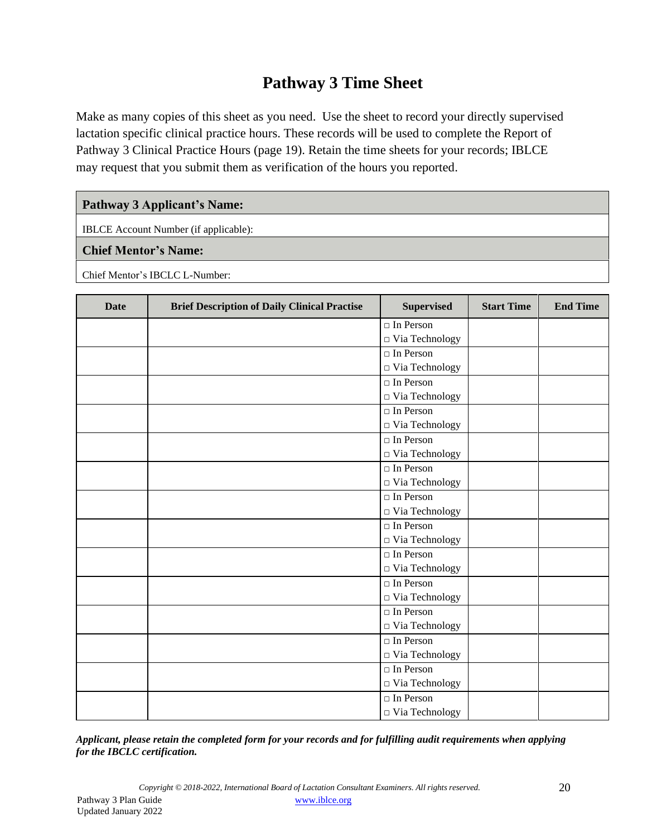## **Pathway 3 Time Sheet**

Make as many copies of this sheet as you need. Use the sheet to record your directly supervised lactation specific clinical practice hours. These records will be used to complete the Report of Pathway 3 Clinical Practice Hours (page 19). Retain the time sheets for your records; IBLCE may request that you submit them as verification of the hours you reported.

#### **Pathway 3 Applicant's Name:**

IBLCE Account Number (if applicable):

#### **Chief Mentor's Name:**

Chief Mentor's IBCLC L-Number:

| <b>Date</b> | <b>Brief Description of Daily Clinical Practise</b> | <b>Supervised</b>           | <b>Start Time</b> | <b>End Time</b> |
|-------------|-----------------------------------------------------|-----------------------------|-------------------|-----------------|
|             |                                                     | $\Box$ In Person            |                   |                 |
|             |                                                     | $\hfill\Box$ Via Technology |                   |                 |
|             |                                                     | $\Box$ In Person            |                   |                 |
|             |                                                     | $\Box$ Via Technology       |                   |                 |
|             |                                                     | $\Box$ In Person            |                   |                 |
|             |                                                     | $\Box$ Via Technology       |                   |                 |
|             |                                                     | $\Box$ In Person            |                   |                 |
|             |                                                     | □ Via Technology            |                   |                 |
|             |                                                     | $\Box$ In Person            |                   |                 |
|             |                                                     | $\hfill\Box$ Via Technology |                   |                 |
|             |                                                     | $\Box$ In Person            |                   |                 |
|             |                                                     | $\hfill\Box$ Via Technology |                   |                 |
|             |                                                     | $\Box$ In Person            |                   |                 |
|             |                                                     | $\Box$ Via Technology       |                   |                 |
|             |                                                     | $\Box$ In Person            |                   |                 |
|             |                                                     | $\hfill\Box$ Via Technology |                   |                 |
|             |                                                     | $\Box$ In Person            |                   |                 |
|             |                                                     | $\Box$ Via Technology       |                   |                 |
|             |                                                     | $\Box$ In Person            |                   |                 |
|             |                                                     | □ Via Technology            |                   |                 |
|             |                                                     | $\Box$ In Person            |                   |                 |
|             |                                                     | $\Box$ Via Technology       |                   |                 |
|             |                                                     | $\Box$ In Person            |                   |                 |
|             |                                                     | $\Box$ Via Technology       |                   |                 |
|             |                                                     | $\Box$ In Person            |                   |                 |
|             |                                                     | $\Box$ Via Technology       |                   |                 |
|             |                                                     | $\Box$ In Person            |                   |                 |
|             |                                                     | $\Box$ Via Technology       |                   |                 |

*Applicant, please retain the completed form for your records and for fulfilling audit requirements when applying for the IBCLC certification.*